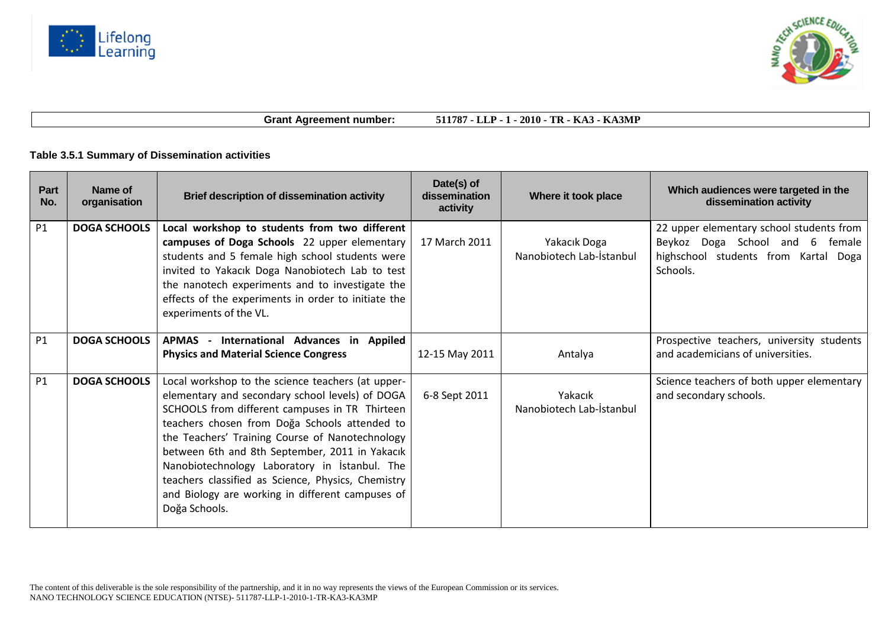



**Grant Agreement number: 511787 - LLP - 1 - 2010 - TR - KA3 - KA3MP**

## **Table 3.5.1 Summary of Dissemination activities**

| Part<br>No. | Name of<br>organisation | <b>Brief description of dissemination activity</b>                                                                                                                                                                                                                                                                                                                                                                                                                                       | Date(s) of<br>dissemination<br>activity | Where it took place                      | Which audiences were targeted in the<br>dissemination activity                                                                  |
|-------------|-------------------------|------------------------------------------------------------------------------------------------------------------------------------------------------------------------------------------------------------------------------------------------------------------------------------------------------------------------------------------------------------------------------------------------------------------------------------------------------------------------------------------|-----------------------------------------|------------------------------------------|---------------------------------------------------------------------------------------------------------------------------------|
| <b>P1</b>   | <b>DOGA SCHOOLS</b>     | Local workshop to students from two different<br>campuses of Doga Schools 22 upper elementary<br>students and 5 female high school students were<br>invited to Yakacık Doga Nanobiotech Lab to test<br>the nanotech experiments and to investigate the<br>effects of the experiments in order to initiate the<br>experiments of the VL.                                                                                                                                                  | 17 March 2011                           | Yakacık Doga<br>Nanobiotech Lab-İstanbul | 22 upper elementary school students from<br>Beykoz Doga School and 6 female<br>highschool students from Kartal Doga<br>Schools. |
| <b>P1</b>   | <b>DOGA SCHOOLS</b>     | APMAS - International Advances in Appiled<br><b>Physics and Material Science Congress</b>                                                                                                                                                                                                                                                                                                                                                                                                | 12-15 May 2011                          | Antalya                                  | Prospective teachers, university students<br>and academicians of universities.                                                  |
| <b>P1</b>   | <b>DOGA SCHOOLS</b>     | Local workshop to the science teachers (at upper-<br>elementary and secondary school levels) of DOGA<br>SCHOOLS from different campuses in TR Thirteen<br>teachers chosen from Doğa Schools attended to<br>the Teachers' Training Course of Nanotechnology<br>between 6th and 8th September, 2011 in Yakacık<br>Nanobiotechnology Laboratory in Istanbul. The<br>teachers classified as Science, Physics, Chemistry<br>and Biology are working in different campuses of<br>Doğa Schools. | 6-8 Sept 2011                           | Yakacık<br>Nanobiotech Lab-İstanbul      | Science teachers of both upper elementary<br>and secondary schools.                                                             |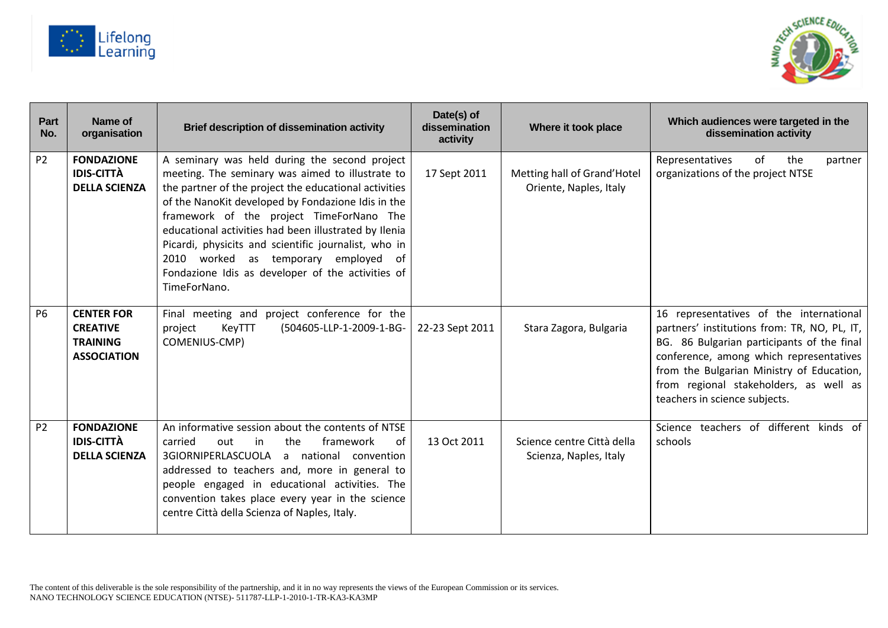



| Part<br>No.    | Name of<br>organisation                                                       | <b>Brief description of dissemination activity</b>                                                                                                                                                                                                                                                                                                                                                                                                                                         | Date(s) of<br>dissemination<br>activity | Where it took place                                   | Which audiences were targeted in the<br>dissemination activity                                                                                                                                                                                                                                           |
|----------------|-------------------------------------------------------------------------------|--------------------------------------------------------------------------------------------------------------------------------------------------------------------------------------------------------------------------------------------------------------------------------------------------------------------------------------------------------------------------------------------------------------------------------------------------------------------------------------------|-----------------------------------------|-------------------------------------------------------|----------------------------------------------------------------------------------------------------------------------------------------------------------------------------------------------------------------------------------------------------------------------------------------------------------|
| P <sub>2</sub> | <b>FONDAZIONE</b><br><b>IDIS-CITTÀ</b><br><b>DELLA SCIENZA</b>                | A seminary was held during the second project<br>meeting. The seminary was aimed to illustrate to<br>the partner of the project the educational activities<br>of the NanoKit developed by Fondazione Idis in the<br>framework of the project TimeForNano The<br>educational activities had been illustrated by Ilenia<br>Picardi, physicits and scientific journalist, who in<br>2010 worked as temporary employed of<br>Fondazione Idis as developer of the activities of<br>TimeForNano. | 17 Sept 2011                            | Metting hall of Grand'Hotel<br>Oriente, Naples, Italy | of<br>Representatives<br>the<br>partner<br>organizations of the project NTSE                                                                                                                                                                                                                             |
| <b>P6</b>      | <b>CENTER FOR</b><br><b>CREATIVE</b><br><b>TRAINING</b><br><b>ASSOCIATION</b> | Final meeting and project conference for the<br>(504605-LLP-1-2009-1-BG-<br>KeyTTT<br>project<br>COMENIUS-CMP)                                                                                                                                                                                                                                                                                                                                                                             | 22-23 Sept 2011                         | Stara Zagora, Bulgaria                                | 16 representatives of the international<br>partners' institutions from: TR, NO, PL, IT,<br>BG. 86 Bulgarian participants of the final<br>conference, among which representatives<br>from the Bulgarian Ministry of Education,<br>from regional stakeholders, as well as<br>teachers in science subjects. |
| P <sub>2</sub> | <b>FONDAZIONE</b><br><b>IDIS-CITTÀ</b><br><b>DELLA SCIENZA</b>                | An informative session about the contents of NTSE<br>carried<br>out<br>the<br>framework<br>in<br>0f<br>a national convention<br>3GIORNIPERLASCUOLA<br>addressed to teachers and, more in general to<br>people engaged in educational activities. The<br>convention takes place every year in the science<br>centre Città della Scienza of Naples, Italy.                                                                                                                                   | 13 Oct 2011                             | Science centre Città della<br>Scienza, Naples, Italy  | Science teachers of different kinds of<br>schools                                                                                                                                                                                                                                                        |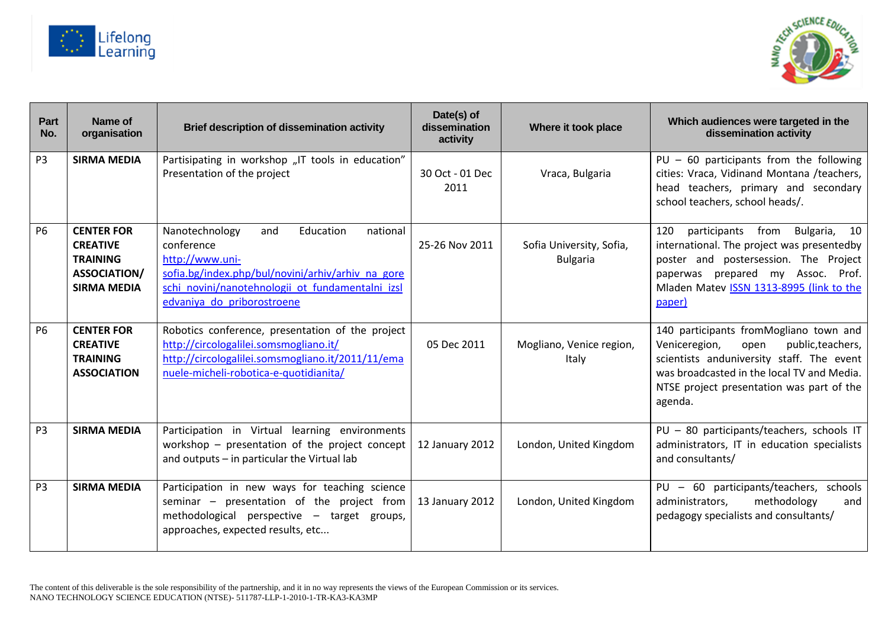



| Part<br>No.    | Name of<br>organisation                                                                              | <b>Brief description of dissemination activity</b>                                                                                                                                                                     | Date(s) of<br>dissemination<br>activity | Where it took place                         | Which audiences were targeted in the<br>dissemination activity                                                                                                                                                                          |
|----------------|------------------------------------------------------------------------------------------------------|------------------------------------------------------------------------------------------------------------------------------------------------------------------------------------------------------------------------|-----------------------------------------|---------------------------------------------|-----------------------------------------------------------------------------------------------------------------------------------------------------------------------------------------------------------------------------------------|
| P <sub>3</sub> | <b>SIRMA MEDIA</b>                                                                                   | Partisipating in workshop "IT tools in education"<br>Presentation of the project                                                                                                                                       | 30 Oct - 01 Dec<br>2011                 | Vraca, Bulgaria                             | $PU - 60$ participants from the following<br>cities: Vraca, Vidinand Montana /teachers,<br>head teachers, primary and secondary<br>school teachers, school heads/.                                                                      |
| <b>P6</b>      | <b>CENTER FOR</b><br><b>CREATIVE</b><br><b>TRAINING</b><br><b>ASSOCIATION/</b><br><b>SIRMA MEDIA</b> | Nanotechnology<br>and<br>Education<br>national<br>conference<br>http://www.uni-<br>sofia.bg/index.php/bul/novini/arhiv/arhiv na gore<br>schi novini/nanotehnologii ot fundamentalni izsl<br>edvaniya do priborostroene | 25-26 Nov 2011                          | Sofia University, Sofia,<br><b>Bulgaria</b> | participants from Bulgaria, 10<br>120<br>international. The project was presentedby<br>poster and postersession. The Project<br>paperwas prepared my Assoc.<br>Prof.<br>Mladen Matev ISSN 1313-8995 (link to the<br>paper)              |
| <b>P6</b>      | <b>CENTER FOR</b><br><b>CREATIVE</b><br><b>TRAINING</b><br><b>ASSOCIATION</b>                        | Robotics conference, presentation of the project<br>http://circologalilei.somsmogliano.it/<br>http://circologalilei.somsmogliano.it/2011/11/ema<br>nuele-micheli-robotica-e-quotidianita/                              | 05 Dec 2011                             | Mogliano, Venice region,<br>Italy           | 140 participants fromMogliano town and<br>Veniceregion,<br>public, teachers,<br>open<br>scientists anduniversity staff. The event<br>was broadcasted in the local TV and Media.<br>NTSE project presentation was part of the<br>agenda. |
| P <sub>3</sub> | <b>SIRMA MEDIA</b>                                                                                   | Participation in Virtual learning environments<br>workshop - presentation of the project concept<br>and outputs - in particular the Virtual lab                                                                        | 12 January 2012                         | London, United Kingdom                      | PU - 80 participants/teachers, schools IT<br>administrators, IT in education specialists<br>and consultants/                                                                                                                            |
| P <sub>3</sub> | <b>SIRMA MEDIA</b>                                                                                   | Participation in new ways for teaching science<br>seminar - presentation of the project from<br>methodological perspective - target groups,<br>approaches, expected results, etc                                       | 13 January 2012                         | London, United Kingdom                      | PU - 60 participants/teachers, schools<br>methodology<br>administrators,<br>and<br>pedagogy specialists and consultants/                                                                                                                |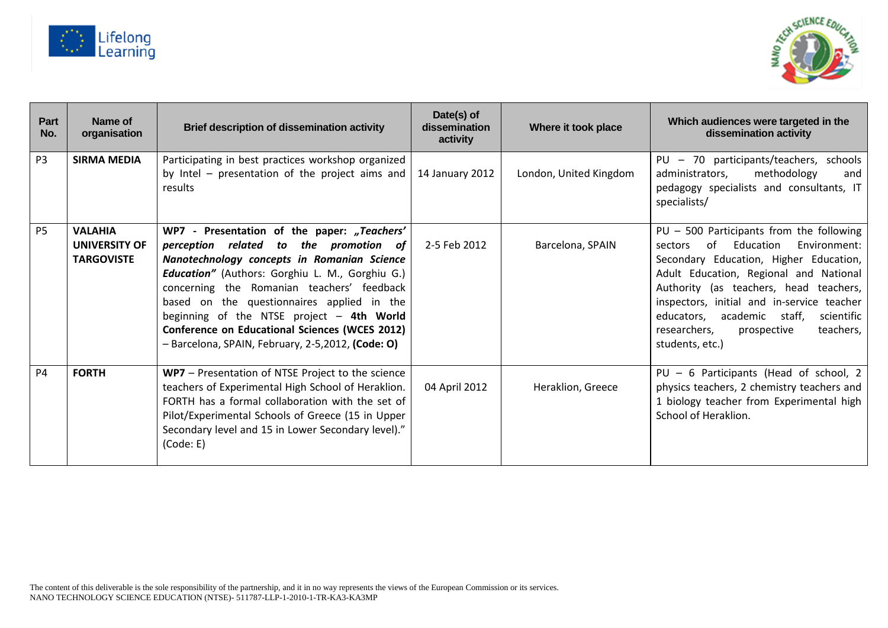



| Part<br>No.    | Name of<br>organisation                                     | Brief description of dissemination activity                                                                                                                                                                                                                                                                                                                                                                                             | Date(s) of<br>dissemination<br>activity | Where it took place    | Which audiences were targeted in the<br>dissemination activity                                                                                                                                                                                                                                                                                                                   |
|----------------|-------------------------------------------------------------|-----------------------------------------------------------------------------------------------------------------------------------------------------------------------------------------------------------------------------------------------------------------------------------------------------------------------------------------------------------------------------------------------------------------------------------------|-----------------------------------------|------------------------|----------------------------------------------------------------------------------------------------------------------------------------------------------------------------------------------------------------------------------------------------------------------------------------------------------------------------------------------------------------------------------|
| P <sub>3</sub> | <b>SIRMA MEDIA</b>                                          | Participating in best practices workshop organized<br>by Intel - presentation of the project aims and<br>results                                                                                                                                                                                                                                                                                                                        | 14 January 2012                         | London, United Kingdom | PU - 70 participants/teachers, schools<br>administrators,<br>methodology<br>and<br>pedagogy specialists and consultants, IT<br>specialists/                                                                                                                                                                                                                                      |
| <b>P5</b>      | <b>VALAHIA</b><br><b>UNIVERSITY OF</b><br><b>TARGOVISTE</b> | WP7 - Presentation of the paper: "Teachers'<br>perception related to the promotion of<br>Nanotechnology concepts in Romanian Science<br>Education" (Authors: Gorghiu L. M., Gorghiu G.)<br>concerning the Romanian teachers' feedback<br>based on the questionnaires applied in the<br>beginning of the NTSE project - 4th World<br>Conference on Educational Sciences (WCES 2012)<br>- Barcelona, SPAIN, February, 2-5,2012, (Code: O) | 2-5 Feb 2012                            | Barcelona, SPAIN       | PU - 500 Participants from the following<br>of Education<br>Environment:<br>sectors<br>Secondary Education, Higher Education,<br>Adult Education, Regional and National<br>Authority (as teachers, head teachers,<br>inspectors, initial and in-service teacher<br>academic<br>educators,<br>staff,<br>scientific<br>teachers,<br>researchers,<br>prospective<br>students, etc.) |
| <b>P4</b>      | <b>FORTH</b>                                                | WP7 - Presentation of NTSE Project to the science<br>teachers of Experimental High School of Heraklion.<br>FORTH has a formal collaboration with the set of<br>Pilot/Experimental Schools of Greece (15 in Upper<br>Secondary level and 15 in Lower Secondary level)."<br>(Code: E)                                                                                                                                                     | 04 April 2012                           | Heraklion, Greece      | PU - 6 Participants (Head of school, 2<br>physics teachers, 2 chemistry teachers and<br>1 biology teacher from Experimental high<br>School of Heraklion.                                                                                                                                                                                                                         |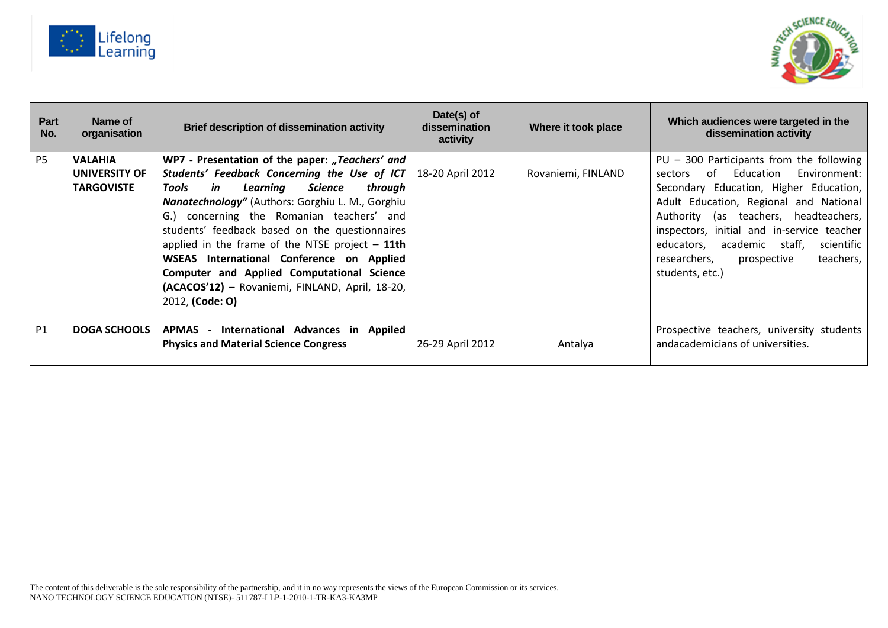



| Part<br>No.    | Name of<br>organisation | <b>Brief description of dissemination activity</b> | Date(s) of<br>dissemination<br>activity | Where it took place | Which audiences were targeted in the<br>dissemination activity |
|----------------|-------------------------|----------------------------------------------------|-----------------------------------------|---------------------|----------------------------------------------------------------|
| P <sub>5</sub> | <b>VALAHIA</b>          | WP7 - Presentation of the paper: "Teachers' and    |                                         |                     | $PU - 300$ Participants from the following                     |
|                | UNIVERSITY OF           | Students' Feedback Concerning the Use of ICT       | 18-20 April 2012                        | Rovaniemi, FINLAND  | Education<br>Environment:<br>∩f<br>sectors                     |
|                | <b>TARGOVISTE</b>       | in<br>Learning<br>Science<br>Tools<br>through      |                                         |                     | Secondary Education, Higher Education,                         |
|                |                         | Nanotechnology" (Authors: Gorghiu L. M., Gorghiu   |                                         |                     | Adult Education, Regional and National                         |
|                |                         | G.) concerning the Romanian teachers' and          |                                         |                     | Authority (as teachers, headteachers,                          |
|                |                         | students' feedback based on the questionnaires     |                                         |                     | inspectors, initial and in-service teacher                     |
|                |                         | applied in the frame of the NTSE project $-$ 11th  |                                         |                     | academic staff,<br>scientific<br>educators,                    |
|                |                         | WSEAS International Conference on Applied          |                                         |                     | teachers,<br>researchers,<br>prospective                       |
|                |                         | Computer and Applied Computational Science         |                                         |                     | students, etc.)                                                |
|                |                         | (ACACOS'12) - Rovaniemi, FINLAND, April, 18-20,    |                                         |                     |                                                                |
|                |                         | 2012, (Code: O)                                    |                                         |                     |                                                                |
|                |                         |                                                    |                                         |                     |                                                                |
| <b>P1</b>      | <b>DOGA SCHOOLS</b>     | APMAS - International Advances in Appiled          |                                         |                     | Prospective teachers, university students                      |
|                |                         | <b>Physics and Material Science Congress</b>       | 26-29 April 2012                        | Antalya             | andacademicians of universities.                               |
|                |                         |                                                    |                                         |                     |                                                                |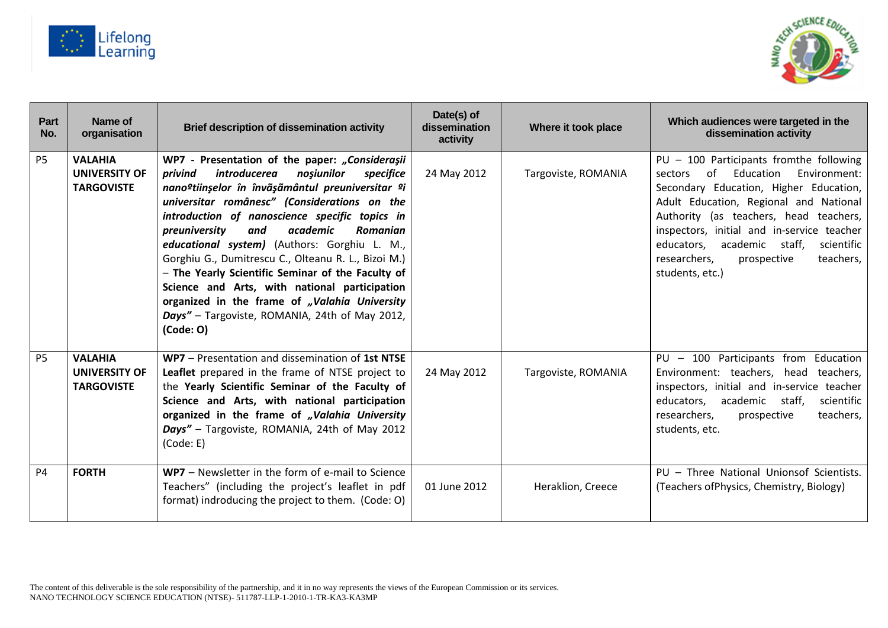



| Part<br>No. | Name of<br>organisation                                     | <b>Brief description of dissemination activity</b>                                                                                                                                                                                                                                                                                                                                                                                                                                                                                                                                                                                                                        | Date(s) of<br>dissemination<br>activity | Where it took place | Which audiences were targeted in the<br>dissemination activity                                                                                                                                                                                                                                                                                                                  |
|-------------|-------------------------------------------------------------|---------------------------------------------------------------------------------------------------------------------------------------------------------------------------------------------------------------------------------------------------------------------------------------------------------------------------------------------------------------------------------------------------------------------------------------------------------------------------------------------------------------------------------------------------------------------------------------------------------------------------------------------------------------------------|-----------------------------------------|---------------------|---------------------------------------------------------------------------------------------------------------------------------------------------------------------------------------------------------------------------------------------------------------------------------------------------------------------------------------------------------------------------------|
| <b>P5</b>   | <b>VALAHIA</b><br>UNIVERSITY OF<br><b>TARGOVISTE</b>        | WP7 - Presentation of the paper: "Considerașii<br><i>introducerea</i><br>specifice<br>privind<br>noșiunilor<br>nano <sup>o</sup> tiinșelor în învãșãmântul preuniversitar <sup>o</sup> i<br>universitar românesc" (Considerations on the<br>introduction of nanoscience specific topics in<br>academic<br>Romanian<br>preuniversity<br>and<br>educational system) (Authors: Gorghiu L. M.,<br>Gorghiu G., Dumitrescu C., Olteanu R. L., Bizoi M.)<br>- The Yearly Scientific Seminar of the Faculty of<br>Science and Arts, with national participation<br>organized in the frame of "Valahia University<br>Days" - Targoviste, ROMANIA, 24th of May 2012,<br>$(Code: O)$ | 24 May 2012                             | Targoviste, ROMANIA | PU - 100 Participants fromthe following<br>of<br>Education<br>Environment:<br>sectors<br>Secondary Education, Higher Education,<br>Adult Education, Regional and National<br>Authority (as teachers, head teachers,<br>inspectors, initial and in-service teacher<br>academic staff,<br>educators,<br>scientific<br>teachers,<br>researchers,<br>prospective<br>students, etc.) |
| <b>P5</b>   | <b>VALAHIA</b><br><b>UNIVERSITY OF</b><br><b>TARGOVISTE</b> | WP7 - Presentation and dissemination of 1st NTSE<br>Leaflet prepared in the frame of NTSE project to<br>the Yearly Scientific Seminar of the Faculty of<br>Science and Arts, with national participation<br>organized in the frame of "Valahia University<br>Days" - Targoviste, ROMANIA, 24th of May 2012<br>(Code: E)                                                                                                                                                                                                                                                                                                                                                   | 24 May 2012                             | Targoviste, ROMANIA | PU - 100 Participants from Education<br>Environment: teachers, head<br>teachers,<br>inspectors, initial and in-service teacher<br>academic<br>staff,<br>educators,<br>scientific<br>teachers,<br>researchers,<br>prospective<br>students, etc.                                                                                                                                  |
| <b>P4</b>   | <b>FORTH</b>                                                | WP7 - Newsletter in the form of e-mail to Science<br>Teachers" (including the project's leaflet in pdf<br>format) indroducing the project to them. (Code: O)                                                                                                                                                                                                                                                                                                                                                                                                                                                                                                              | 01 June 2012                            | Heraklion, Creece   | PU - Three National Unionsof Scientists.<br>(Teachers of Physics, Chemistry, Biology)                                                                                                                                                                                                                                                                                           |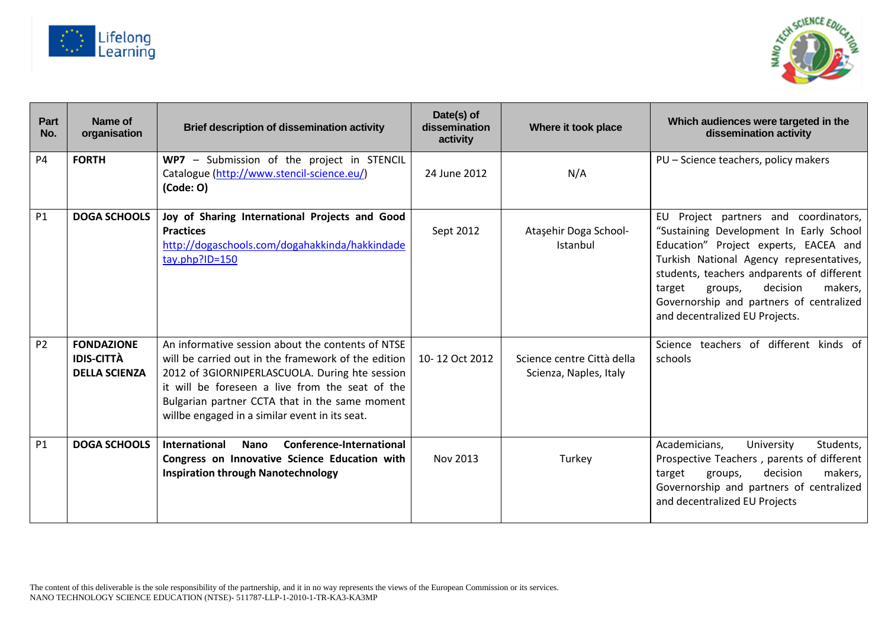



| Part<br>No. | Name of<br>organisation                                        | <b>Brief description of dissemination activity</b>                                                                                                                                                                                                                                                                | Date(s) of<br>dissemination<br>activity | Where it took place                                  | Which audiences were targeted in the<br>dissemination activity                                                                                                                                                                                                                                                                                   |
|-------------|----------------------------------------------------------------|-------------------------------------------------------------------------------------------------------------------------------------------------------------------------------------------------------------------------------------------------------------------------------------------------------------------|-----------------------------------------|------------------------------------------------------|--------------------------------------------------------------------------------------------------------------------------------------------------------------------------------------------------------------------------------------------------------------------------------------------------------------------------------------------------|
| <b>P4</b>   | <b>FORTH</b>                                                   | WP7 - Submission of the project in STENCIL<br>Catalogue (http://www.stencil-science.eu/)<br>$(Code: O)$                                                                                                                                                                                                           | 24 June 2012                            | N/A                                                  | PU - Science teachers, policy makers                                                                                                                                                                                                                                                                                                             |
| <b>P1</b>   | <b>DOGA SCHOOLS</b>                                            | Joy of Sharing International Projects and Good<br><b>Practices</b><br>http://dogaschools.com/dogahakkinda/hakkindade<br>tay.php?ID=150                                                                                                                                                                            | Sept 2012                               | Ataşehir Doga School-<br>Istanbul                    | Project partners and coordinators,<br>EU<br>"Sustaining Development In Early School<br>Education" Project experts, EACEA and<br>Turkish National Agency representatives,<br>students, teachers andparents of different<br>decision<br>makers,<br>target<br>groups,<br>Governorship and partners of centralized<br>and decentralized EU Projects. |
| <b>P2</b>   | <b>FONDAZIONE</b><br><b>IDIS-CITTÀ</b><br><b>DELLA SCIENZA</b> | An informative session about the contents of NTSE<br>will be carried out in the framework of the edition<br>2012 of 3GIORNIPERLASCUOLA. During hte session<br>it will be foreseen a live from the seat of the<br>Bulgarian partner CCTA that in the same moment<br>willbe engaged in a similar event in its seat. | 10-12 Oct 2012                          | Science centre Città della<br>Scienza, Naples, Italy | Science teachers of different kinds of<br>schools                                                                                                                                                                                                                                                                                                |
| <b>P1</b>   | <b>DOGA SCHOOLS</b>                                            | <b>International</b><br>Conference-International<br><b>Nano</b><br>Congress on Innovative Science Education with<br><b>Inspiration through Nanotechnology</b>                                                                                                                                                     | Nov 2013                                | Turkey                                               | Students,<br>Academicians,<br>University<br>Prospective Teachers, parents of different<br>decision<br>makers,<br>target<br>groups,<br>Governorship and partners of centralized<br>and decentralized EU Projects                                                                                                                                  |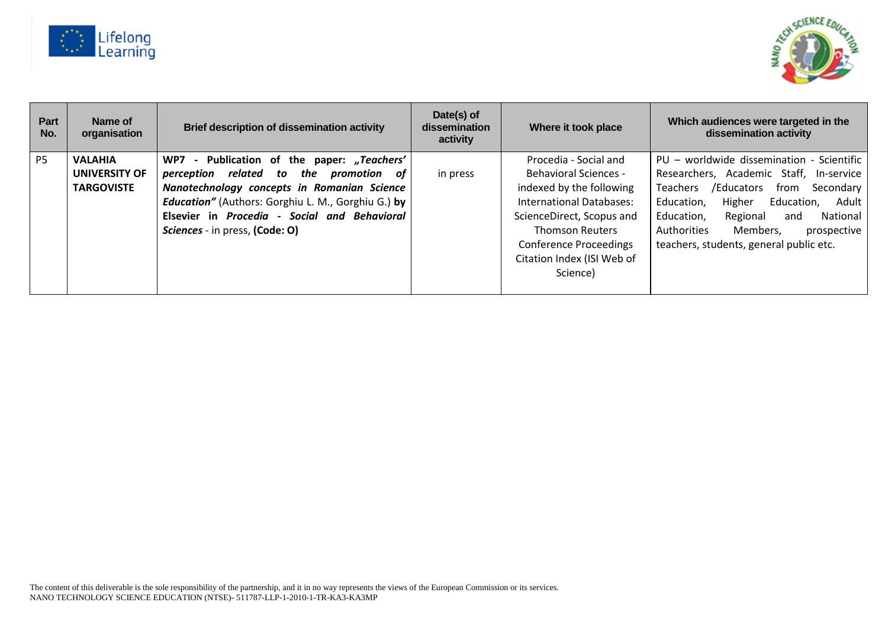



| Part<br>No.    | Name of<br>organisation | Brief description of dissemination activity               | Date(s) of<br>dissemination<br>activity | Where it took place           | Which audiences were targeted in the<br>dissemination activity |
|----------------|-------------------------|-----------------------------------------------------------|-----------------------------------------|-------------------------------|----------------------------------------------------------------|
| P <sub>5</sub> | <b>VALAHIA</b>          | - Publication of the paper: "Teachers'<br>WP7             |                                         | Procedia - Social and         | PU - worldwide dissemination - Scientific                      |
|                | UNIVERSITY OF           | perception related to<br>the promotion of                 | in press                                | <b>Behavioral Sciences -</b>  | Researchers, Academic Staff, In-service                        |
|                | <b>TARGOVISTE</b>       | Nanotechnology concepts in Romanian Science               |                                         | indexed by the following      | /Educators<br><b>Teachers</b><br>from<br>Secondary             |
|                |                         | <b>Education"</b> (Authors: Gorghiu L. M., Gorghiu G.) by |                                         | International Databases:      | Higher<br>Adult<br>Education.<br>Education,                    |
|                |                         | Elsevier in Procedia - Social and Behavioral              |                                         | ScienceDirect, Scopus and     | Education,<br>Regional<br>National<br>and                      |
|                |                         | Sciences - in press, (Code: O)                            |                                         | <b>Thomson Reuters</b>        | Authorities<br>Members,<br>prospective                         |
|                |                         |                                                           |                                         | <b>Conference Proceedings</b> | teachers, students, general public etc.                        |
|                |                         |                                                           |                                         | Citation Index (ISI Web of    |                                                                |
|                |                         |                                                           |                                         | Science)                      |                                                                |
|                |                         |                                                           |                                         |                               |                                                                |